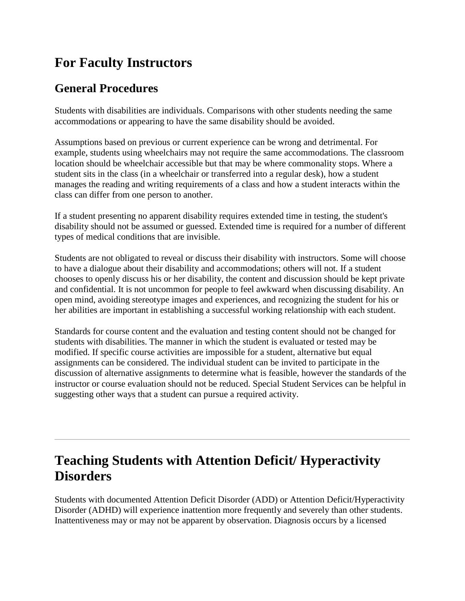## **For Faculty Instructors**

#### **General Procedures**

Students with disabilities are individuals. Comparisons with other students needing the same accommodations or appearing to have the same disability should be avoided.

Assumptions based on previous or current experience can be wrong and detrimental. For example, students using wheelchairs may not require the same accommodations. The classroom location should be wheelchair accessible but that may be where commonality stops. Where a student sits in the class (in a wheelchair or transferred into a regular desk), how a student manages the reading and writing requirements of a class and how a student interacts within the class can differ from one person to another.

If a student presenting no apparent disability requires extended time in testing, the student's disability should not be assumed or guessed. Extended time is required for a number of different types of medical conditions that are invisible.

Students are not obligated to reveal or discuss their disability with instructors. Some will choose to have a dialogue about their disability and accommodations; others will not. If a student chooses to openly discuss his or her disability, the content and discussion should be kept private and confidential. It is not uncommon for people to feel awkward when discussing disability. An open mind, avoiding stereotype images and experiences, and recognizing the student for his or her abilities are important in establishing a successful working relationship with each student.

Standards for course content and the evaluation and testing content should not be changed for students with disabilities. The manner in which the student is evaluated or tested may be modified. If specific course activities are impossible for a student, alternative but equal assignments can be considered. The individual student can be invited to participate in the discussion of alternative assignments to determine what is feasible, however the standards of the instructor or course evaluation should not be reduced. Special Student Services can be helpful in suggesting other ways that a student can pursue a required activity.

## **Teaching Students with Attention Deficit/ Hyperactivity Disorders**

Students with documented Attention Deficit Disorder (ADD) or Attention Deficit/Hyperactivity Disorder (ADHD) will experience inattention more frequently and severely than other students. Inattentiveness may or may not be apparent by observation. Diagnosis occurs by a licensed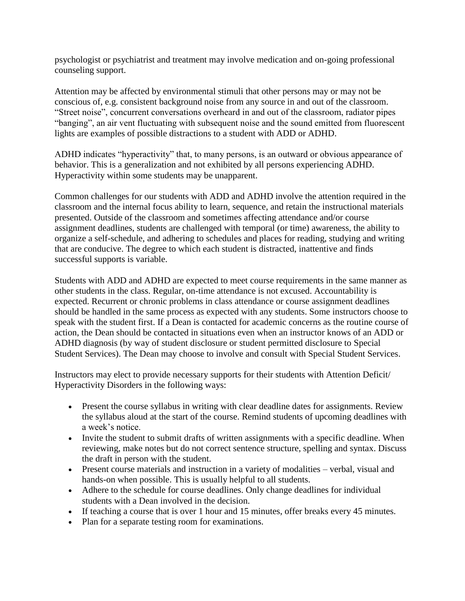psychologist or psychiatrist and treatment may involve medication and on-going professional counseling support.

Attention may be affected by environmental stimuli that other persons may or may not be conscious of, e.g. consistent background noise from any source in and out of the classroom. "Street noise", concurrent conversations overheard in and out of the classroom, radiator pipes "banging", an air vent fluctuating with subsequent noise and the sound emitted from fluorescent lights are examples of possible distractions to a student with ADD or ADHD.

ADHD indicates "hyperactivity" that, to many persons, is an outward or obvious appearance of behavior. This is a generalization and not exhibited by all persons experiencing ADHD. Hyperactivity within some students may be unapparent.

Common challenges for our students with ADD and ADHD involve the attention required in the classroom and the internal focus ability to learn, sequence, and retain the instructional materials presented. Outside of the classroom and sometimes affecting attendance and/or course assignment deadlines, students are challenged with temporal (or time) awareness, the ability to organize a self-schedule, and adhering to schedules and places for reading, studying and writing that are conducive. The degree to which each student is distracted, inattentive and finds successful supports is variable.

Students with ADD and ADHD are expected to meet course requirements in the same manner as other students in the class. Regular, on-time attendance is not excused. Accountability is expected. Recurrent or chronic problems in class attendance or course assignment deadlines should be handled in the same process as expected with any students. Some instructors choose to speak with the student first. If a Dean is contacted for academic concerns as the routine course of action, the Dean should be contacted in situations even when an instructor knows of an ADD or ADHD diagnosis (by way of student disclosure or student permitted disclosure to Special Student Services). The Dean may choose to involve and consult with Special Student Services.

Instructors may elect to provide necessary supports for their students with Attention Deficit/ Hyperactivity Disorders in the following ways:

- Present the course syllabus in writing with clear deadline dates for assignments. Review the syllabus aloud at the start of the course. Remind students of upcoming deadlines with a week's notice.
- Invite the student to submit drafts of written assignments with a specific deadline. When reviewing, make notes but do not correct sentence structure, spelling and syntax. Discuss the draft in person with the student.
- Present course materials and instruction in a variety of modalities verbal, visual and hands-on when possible. This is usually helpful to all students.
- Adhere to the schedule for course deadlines. Only change deadlines for individual students with a Dean involved in the decision.
- If teaching a course that is over 1 hour and 15 minutes, offer breaks every 45 minutes.
- Plan for a separate testing room for examinations.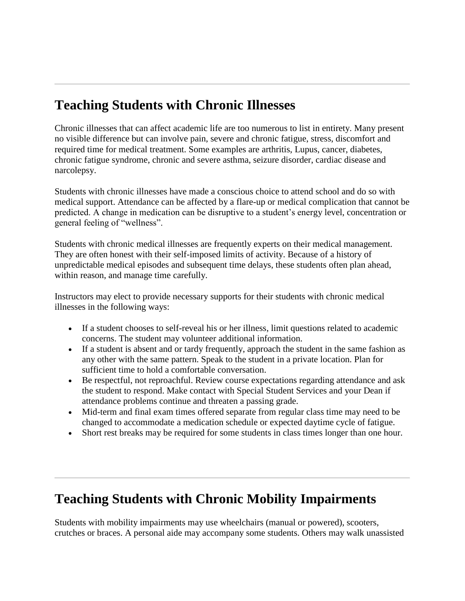# **Teaching Students with Chronic Illnesses**

Chronic illnesses that can affect academic life are too numerous to list in entirety. Many present no visible difference but can involve pain, severe and chronic fatigue, stress, discomfort and required time for medical treatment. Some examples are arthritis, Lupus, cancer, diabetes, chronic fatigue syndrome, chronic and severe asthma, seizure disorder, cardiac disease and narcolepsy.

Students with chronic illnesses have made a conscious choice to attend school and do so with medical support. Attendance can be affected by a flare-up or medical complication that cannot be predicted. A change in medication can be disruptive to a student's energy level, concentration or general feeling of "wellness".

Students with chronic medical illnesses are frequently experts on their medical management. They are often honest with their self-imposed limits of activity. Because of a history of unpredictable medical episodes and subsequent time delays, these students often plan ahead, within reason, and manage time carefully.

Instructors may elect to provide necessary supports for their students with chronic medical illnesses in the following ways:

- If a student chooses to self-reveal his or her illness, limit questions related to academic concerns. The student may volunteer additional information.
- If a student is absent and or tardy frequently, approach the student in the same fashion as any other with the same pattern. Speak to the student in a private location. Plan for sufficient time to hold a comfortable conversation.
- Be respectful, not reproachful. Review course expectations regarding attendance and ask the student to respond. Make contact with Special Student Services and your Dean if attendance problems continue and threaten a passing grade.
- Mid-term and final exam times offered separate from regular class time may need to be changed to accommodate a medication schedule or expected daytime cycle of fatigue.
- Short rest breaks may be required for some students in class times longer than one hour.

## **Teaching Students with Chronic Mobility Impairments**

Students with mobility impairments may use wheelchairs (manual or powered), scooters, crutches or braces. A personal aide may accompany some students. Others may walk unassisted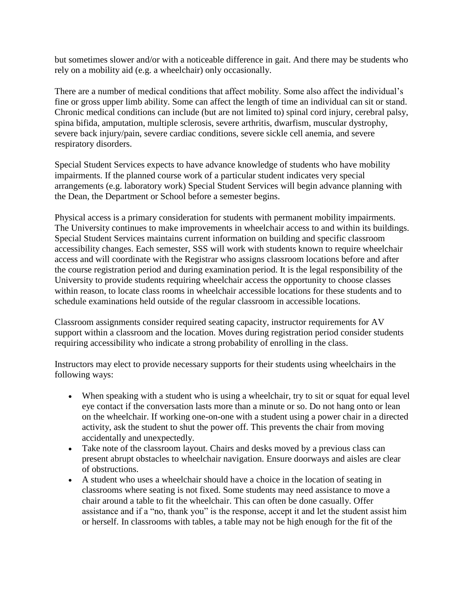but sometimes slower and/or with a noticeable difference in gait. And there may be students who rely on a mobility aid (e.g. a wheelchair) only occasionally.

There are a number of medical conditions that affect mobility. Some also affect the individual's fine or gross upper limb ability. Some can affect the length of time an individual can sit or stand. Chronic medical conditions can include (but are not limited to) spinal cord injury, cerebral palsy, spina bifida, amputation, multiple sclerosis, severe arthritis, dwarfism, muscular dystrophy, severe back injury/pain, severe cardiac conditions, severe sickle cell anemia, and severe respiratory disorders.

Special Student Services expects to have advance knowledge of students who have mobility impairments. If the planned course work of a particular student indicates very special arrangements (e.g. laboratory work) Special Student Services will begin advance planning with the Dean, the Department or School before a semester begins.

Physical access is a primary consideration for students with permanent mobility impairments. The University continues to make improvements in wheelchair access to and within its buildings. Special Student Services maintains current information on building and specific classroom accessibility changes. Each semester, SSS will work with students known to require wheelchair access and will coordinate with the Registrar who assigns classroom locations before and after the course registration period and during examination period. It is the legal responsibility of the University to provide students requiring wheelchair access the opportunity to choose classes within reason, to locate class rooms in wheelchair accessible locations for these students and to schedule examinations held outside of the regular classroom in accessible locations.

Classroom assignments consider required seating capacity, instructor requirements for AV support within a classroom and the location. Moves during registration period consider students requiring accessibility who indicate a strong probability of enrolling in the class.

Instructors may elect to provide necessary supports for their students using wheelchairs in the following ways:

- When speaking with a student who is using a wheelchair, try to sit or squat for equal level eye contact if the conversation lasts more than a minute or so. Do not hang onto or lean on the wheelchair. If working one-on-one with a student using a power chair in a directed activity, ask the student to shut the power off. This prevents the chair from moving accidentally and unexpectedly.
- Take note of the classroom layout. Chairs and desks moved by a previous class can present abrupt obstacles to wheelchair navigation. Ensure doorways and aisles are clear of obstructions.
- A student who uses a wheelchair should have a choice in the location of seating in classrooms where seating is not fixed. Some students may need assistance to move a chair around a table to fit the wheelchair. This can often be done casually. Offer assistance and if a "no, thank you" is the response, accept it and let the student assist him or herself. In classrooms with tables, a table may not be high enough for the fit of the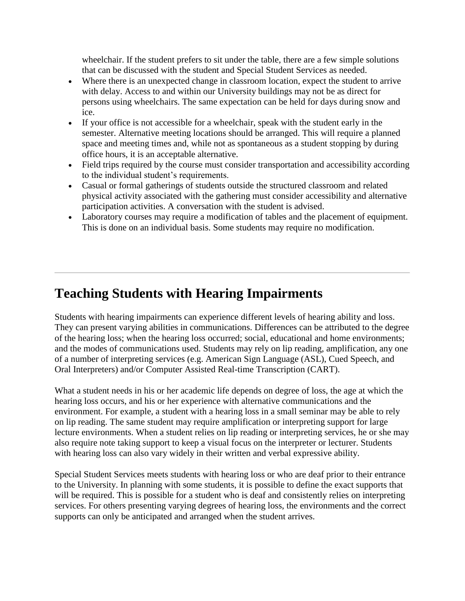wheelchair. If the student prefers to sit under the table, there are a few simple solutions that can be discussed with the student and Special Student Services as needed.

- Where there is an unexpected change in classroom location, expect the student to arrive with delay. Access to and within our University buildings may not be as direct for persons using wheelchairs. The same expectation can be held for days during snow and ice.
- If your office is not accessible for a wheelchair, speak with the student early in the semester. Alternative meeting locations should be arranged. This will require a planned space and meeting times and, while not as spontaneous as a student stopping by during office hours, it is an acceptable alternative.
- Field trips required by the course must consider transportation and accessibility according to the individual student's requirements.
- Casual or formal gatherings of students outside the structured classroom and related physical activity associated with the gathering must consider accessibility and alternative participation activities. A conversation with the student is advised.
- Laboratory courses may require a modification of tables and the placement of equipment. This is done on an individual basis. Some students may require no modification.

### **Teaching Students with Hearing Impairments**

Students with hearing impairments can experience different levels of hearing ability and loss. They can present varying abilities in communications. Differences can be attributed to the degree of the hearing loss; when the hearing loss occurred; social, educational and home environments; and the modes of communications used. Students may rely on lip reading, amplification, any one of a number of interpreting services (e.g. American Sign Language (ASL), Cued Speech, and Oral Interpreters) and/or Computer Assisted Real-time Transcription (CART).

What a student needs in his or her academic life depends on degree of loss, the age at which the hearing loss occurs, and his or her experience with alternative communications and the environment. For example, a student with a hearing loss in a small seminar may be able to rely on lip reading. The same student may require amplification or interpreting support for large lecture environments. When a student relies on lip reading or interpreting services, he or she may also require note taking support to keep a visual focus on the interpreter or lecturer. Students with hearing loss can also vary widely in their written and verbal expressive ability.

Special Student Services meets students with hearing loss or who are deaf prior to their entrance to the University. In planning with some students, it is possible to define the exact supports that will be required. This is possible for a student who is deaf and consistently relies on interpreting services. For others presenting varying degrees of hearing loss, the environments and the correct supports can only be anticipated and arranged when the student arrives.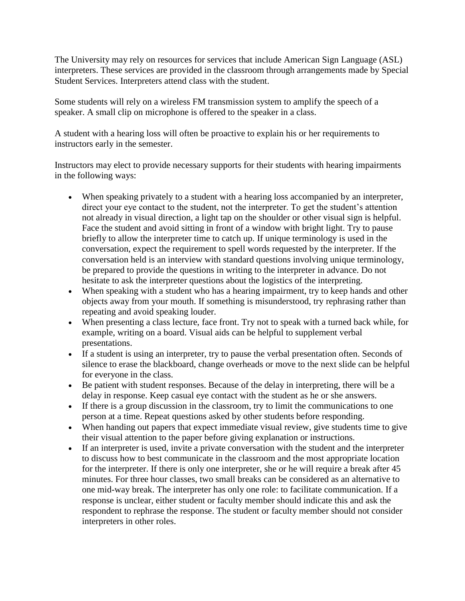The University may rely on resources for services that include American Sign Language (ASL) interpreters. These services are provided in the classroom through arrangements made by Special Student Services. Interpreters attend class with the student.

Some students will rely on a wireless FM transmission system to amplify the speech of a speaker. A small clip on microphone is offered to the speaker in a class.

A student with a hearing loss will often be proactive to explain his or her requirements to instructors early in the semester.

Instructors may elect to provide necessary supports for their students with hearing impairments in the following ways:

- When speaking privately to a student with a hearing loss accompanied by an interpreter, direct your eye contact to the student, not the interpreter. To get the student's attention not already in visual direction, a light tap on the shoulder or other visual sign is helpful. Face the student and avoid sitting in front of a window with bright light. Try to pause briefly to allow the interpreter time to catch up. If unique terminology is used in the conversation, expect the requirement to spell words requested by the interpreter. If the conversation held is an interview with standard questions involving unique terminology, be prepared to provide the questions in writing to the interpreter in advance. Do not hesitate to ask the interpreter questions about the logistics of the interpreting.
- When speaking with a student who has a hearing impairment, try to keep hands and other objects away from your mouth. If something is misunderstood, try rephrasing rather than repeating and avoid speaking louder.
- When presenting a class lecture, face front. Try not to speak with a turned back while, for example, writing on a board. Visual aids can be helpful to supplement verbal presentations.
- If a student is using an interpreter, try to pause the verbal presentation often. Seconds of silence to erase the blackboard, change overheads or move to the next slide can be helpful for everyone in the class.
- Be patient with student responses. Because of the delay in interpreting, there will be a delay in response. Keep casual eye contact with the student as he or she answers.
- If there is a group discussion in the classroom, try to limit the communications to one person at a time. Repeat questions asked by other students before responding.
- When handing out papers that expect immediate visual review, give students time to give their visual attention to the paper before giving explanation or instructions.
- If an interpreter is used, invite a private conversation with the student and the interpreter to discuss how to best communicate in the classroom and the most appropriate location for the interpreter. If there is only one interpreter, she or he will require a break after 45 minutes. For three hour classes, two small breaks can be considered as an alternative to one mid-way break. The interpreter has only one role: to facilitate communication. If a response is unclear, either student or faculty member should indicate this and ask the respondent to rephrase the response. The student or faculty member should not consider interpreters in other roles.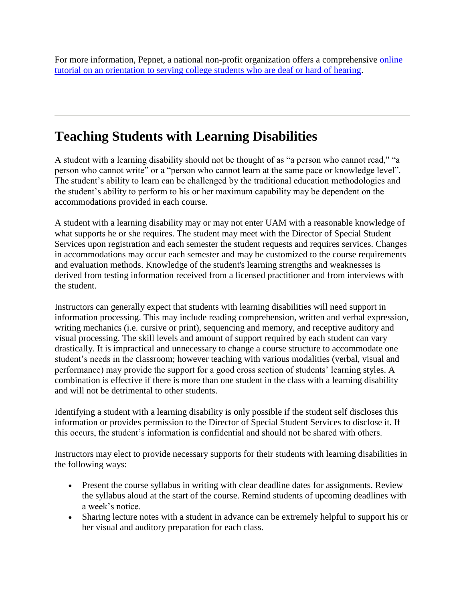[For more information, Pepnet, a national non-profit organization offers a comprehensive online](http://pepnet.org/)  tutorial on an orientation to serving college students who are deaf or hard of hearing.

### **Teaching Students with Learning Disabilities**

A student with a learning disability should not be thought of as "a person who cannot read," "a person who cannot write" or a "person who cannot learn at the same pace or knowledge level". The student's ability to learn can be challenged by the traditional education methodologies and the student's ability to perform to his or her maximum capability may be dependent on the accommodations provided in each course.

A student with a learning disability may or may not enter UAM with a reasonable knowledge of what supports he or she requires. The student may meet with the Director of Special Student Services upon registration and each semester the student requests and requires services. Changes in accommodations may occur each semester and may be customized to the course requirements and evaluation methods. Knowledge of the student's learning strengths and weaknesses is derived from testing information received from a licensed practitioner and from interviews with the student.

Instructors can generally expect that students with learning disabilities will need support in information processing. This may include reading comprehension, written and verbal expression, writing mechanics (i.e. cursive or print), sequencing and memory, and receptive auditory and visual processing. The skill levels and amount of support required by each student can vary drastically. It is impractical and unnecessary to change a course structure to accommodate one student's needs in the classroom; however teaching with various modalities (verbal, visual and performance) may provide the support for a good cross section of students' learning styles. A combination is effective if there is more than one student in the class with a learning disability and will not be detrimental to other students.

Identifying a student with a learning disability is only possible if the student self discloses this information or provides permission to the Director of Special Student Services to disclose it. If this occurs, the student's information is confidential and should not be shared with others.

Instructors may elect to provide necessary supports for their students with learning disabilities in the following ways:

- Present the course syllabus in writing with clear deadline dates for assignments. Review the syllabus aloud at the start of the course. Remind students of upcoming deadlines with a week's notice.
- Sharing lecture notes with a student in advance can be extremely helpful to support his or her visual and auditory preparation for each class.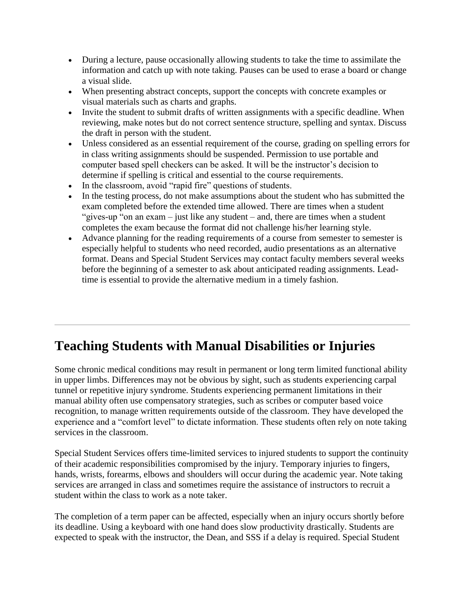- During a lecture, pause occasionally allowing students to take the time to assimilate the information and catch up with note taking. Pauses can be used to erase a board or change a visual slide.
- When presenting abstract concepts, support the concepts with concrete examples or visual materials such as charts and graphs.
- Invite the student to submit drafts of written assignments with a specific deadline. When reviewing, make notes but do not correct sentence structure, spelling and syntax. Discuss the draft in person with the student.
- Unless considered as an essential requirement of the course, grading on spelling errors for in class writing assignments should be suspended. Permission to use portable and computer based spell checkers can be asked. It will be the instructor's decision to determine if spelling is critical and essential to the course requirements.
- In the classroom, avoid "rapid fire" questions of students.
- In the testing process, do not make assumptions about the student who has submitted the exam completed before the extended time allowed. There are times when a student "gives-up "on an exam – just like any student – and, there are times when a student completes the exam because the format did not challenge his/her learning style.
- Advance planning for the reading requirements of a course from semester to semester is especially helpful to students who need recorded, audio presentations as an alternative format. Deans and Special Student Services may contact faculty members several weeks before the beginning of a semester to ask about anticipated reading assignments. Leadtime is essential to provide the alternative medium in a timely fashion.

## **Teaching Students with Manual Disabilities or Injuries**

Some chronic medical conditions may result in permanent or long term limited functional ability in upper limbs. Differences may not be obvious by sight, such as students experiencing carpal tunnel or repetitive injury syndrome. Students experiencing permanent limitations in their manual ability often use compensatory strategies, such as scribes or computer based voice recognition, to manage written requirements outside of the classroom. They have developed the experience and a "comfort level" to dictate information. These students often rely on note taking services in the classroom.

Special Student Services offers time-limited services to injured students to support the continuity of their academic responsibilities compromised by the injury. Temporary injuries to fingers, hands, wrists, forearms, elbows and shoulders will occur during the academic year. Note taking services are arranged in class and sometimes require the assistance of instructors to recruit a student within the class to work as a note taker.

The completion of a term paper can be affected, especially when an injury occurs shortly before its deadline. Using a keyboard with one hand does slow productivity drastically. Students are expected to speak with the instructor, the Dean, and SSS if a delay is required. Special Student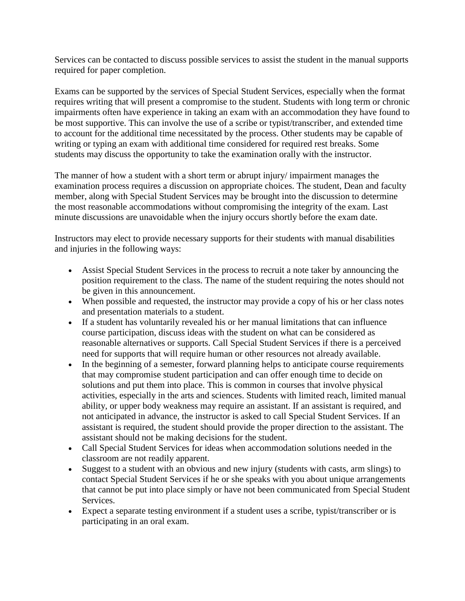Services can be contacted to discuss possible services to assist the student in the manual supports required for paper completion.

Exams can be supported by the services of Special Student Services, especially when the format requires writing that will present a compromise to the student. Students with long term or chronic impairments often have experience in taking an exam with an accommodation they have found to be most supportive. This can involve the use of a scribe or typist/transcriber, and extended time to account for the additional time necessitated by the process. Other students may be capable of writing or typing an exam with additional time considered for required rest breaks. Some students may discuss the opportunity to take the examination orally with the instructor.

The manner of how a student with a short term or abrupt injury/ impairment manages the examination process requires a discussion on appropriate choices. The student, Dean and faculty member, along with Special Student Services may be brought into the discussion to determine the most reasonable accommodations without compromising the integrity of the exam. Last minute discussions are unavoidable when the injury occurs shortly before the exam date.

Instructors may elect to provide necessary supports for their students with manual disabilities and injuries in the following ways:

- Assist Special Student Services in the process to recruit a note taker by announcing the position requirement to the class. The name of the student requiring the notes should not be given in this announcement.
- When possible and requested, the instructor may provide a copy of his or her class notes and presentation materials to a student.
- If a student has voluntarily revealed his or her manual limitations that can influence course participation, discuss ideas with the student on what can be considered as reasonable alternatives or supports. Call Special Student Services if there is a perceived need for supports that will require human or other resources not already available.
- In the beginning of a semester, forward planning helps to anticipate course requirements that may compromise student participation and can offer enough time to decide on solutions and put them into place. This is common in courses that involve physical activities, especially in the arts and sciences. Students with limited reach, limited manual ability, or upper body weakness may require an assistant. If an assistant is required, and not anticipated in advance, the instructor is asked to call Special Student Services. If an assistant is required, the student should provide the proper direction to the assistant. The assistant should not be making decisions for the student.
- Call Special Student Services for ideas when accommodation solutions needed in the classroom are not readily apparent.
- Suggest to a student with an obvious and new injury (students with casts, arm slings) to contact Special Student Services if he or she speaks with you about unique arrangements that cannot be put into place simply or have not been communicated from Special Student Services.
- Expect a separate testing environment if a student uses a scribe, typist/transcriber or is participating in an oral exam.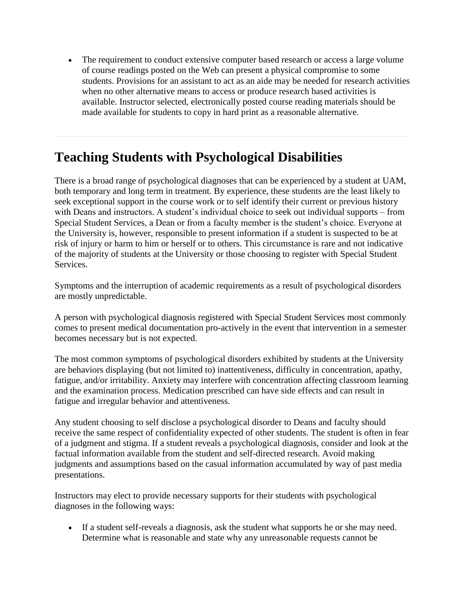The requirement to conduct extensive computer based research or access a large volume of course readings posted on the Web can present a physical compromise to some students. Provisions for an assistant to act as an aide may be needed for research activities when no other alternative means to access or produce research based activities is available. Instructor selected, electronically posted course reading materials should be made available for students to copy in hard print as a reasonable alternative.

### **Teaching Students with Psychological Disabilities**

There is a broad range of psychological diagnoses that can be experienced by a student at UAM, both temporary and long term in treatment. By experience, these students are the least likely to seek exceptional support in the course work or to self identify their current or previous history with Deans and instructors. A student's individual choice to seek out individual supports – from Special Student Services, a Dean or from a faculty member is the student's choice. Everyone at the University is, however, responsible to present information if a student is suspected to be at risk of injury or harm to him or herself or to others. This circumstance is rare and not indicative of the majority of students at the University or those choosing to register with Special Student Services.

Symptoms and the interruption of academic requirements as a result of psychological disorders are mostly unpredictable.

A person with psychological diagnosis registered with Special Student Services most commonly comes to present medical documentation pro-actively in the event that intervention in a semester becomes necessary but is not expected.

The most common symptoms of psychological disorders exhibited by students at the University are behaviors displaying (but not limited to) inattentiveness, difficulty in concentration, apathy, fatigue, and/or irritability. Anxiety may interfere with concentration affecting classroom learning and the examination process. Medication prescribed can have side effects and can result in fatigue and irregular behavior and attentiveness.

Any student choosing to self disclose a psychological disorder to Deans and faculty should receive the same respect of confidentiality expected of other students. The student is often in fear of a judgment and stigma. If a student reveals a psychological diagnosis, consider and look at the factual information available from the student and self-directed research. Avoid making judgments and assumptions based on the casual information accumulated by way of past media presentations.

Instructors may elect to provide necessary supports for their students with psychological diagnoses in the following ways:

 If a student self-reveals a diagnosis, ask the student what supports he or she may need. Determine what is reasonable and state why any unreasonable requests cannot be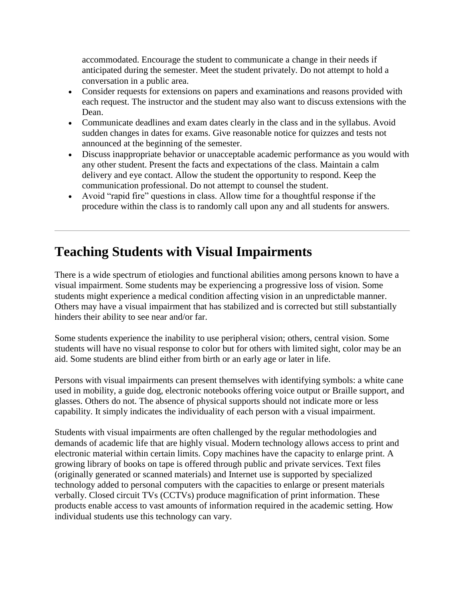accommodated. Encourage the student to communicate a change in their needs if anticipated during the semester. Meet the student privately. Do not attempt to hold a conversation in a public area.

- Consider requests for extensions on papers and examinations and reasons provided with each request. The instructor and the student may also want to discuss extensions with the Dean.
- Communicate deadlines and exam dates clearly in the class and in the syllabus. Avoid sudden changes in dates for exams. Give reasonable notice for quizzes and tests not announced at the beginning of the semester.
- Discuss inappropriate behavior or unacceptable academic performance as you would with any other student. Present the facts and expectations of the class. Maintain a calm delivery and eye contact. Allow the student the opportunity to respond. Keep the communication professional. Do not attempt to counsel the student.
- Avoid "rapid fire" questions in class. Allow time for a thoughtful response if the procedure within the class is to randomly call upon any and all students for answers.

## **Teaching Students with Visual Impairments**

There is a wide spectrum of etiologies and functional abilities among persons known to have a visual impairment. Some students may be experiencing a progressive loss of vision. Some students might experience a medical condition affecting vision in an unpredictable manner. Others may have a visual impairment that has stabilized and is corrected but still substantially hinders their ability to see near and/or far.

Some students experience the inability to use peripheral vision; others, central vision. Some students will have no visual response to color but for others with limited sight, color may be an aid. Some students are blind either from birth or an early age or later in life.

Persons with visual impairments can present themselves with identifying symbols: a white cane used in mobility, a guide dog, electronic notebooks offering voice output or Braille support, and glasses. Others do not. The absence of physical supports should not indicate more or less capability. It simply indicates the individuality of each person with a visual impairment.

Students with visual impairments are often challenged by the regular methodologies and demands of academic life that are highly visual. Modern technology allows access to print and electronic material within certain limits. Copy machines have the capacity to enlarge print. A growing library of books on tape is offered through public and private services. Text files (originally generated or scanned materials) and Internet use is supported by specialized technology added to personal computers with the capacities to enlarge or present materials verbally. Closed circuit TVs (CCTVs) produce magnification of print information. These products enable access to vast amounts of information required in the academic setting. How individual students use this technology can vary.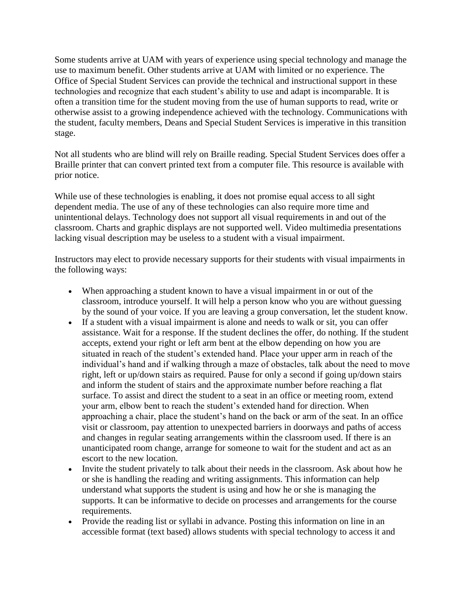Some students arrive at UAM with years of experience using special technology and manage the use to maximum benefit. Other students arrive at UAM with limited or no experience. The Office of Special Student Services can provide the technical and instructional support in these technologies and recognize that each student's ability to use and adapt is incomparable. It is often a transition time for the student moving from the use of human supports to read, write or otherwise assist to a growing independence achieved with the technology. Communications with the student, faculty members, Deans and Special Student Services is imperative in this transition stage.

Not all students who are blind will rely on Braille reading. Special Student Services does offer a Braille printer that can convert printed text from a computer file. This resource is available with prior notice.

While use of these technologies is enabling, it does not promise equal access to all sight dependent media. The use of any of these technologies can also require more time and unintentional delays. Technology does not support all visual requirements in and out of the classroom. Charts and graphic displays are not supported well. Video multimedia presentations lacking visual description may be useless to a student with a visual impairment.

Instructors may elect to provide necessary supports for their students with visual impairments in the following ways:

- When approaching a student known to have a visual impairment in or out of the classroom, introduce yourself. It will help a person know who you are without guessing by the sound of your voice. If you are leaving a group conversation, let the student know.
- If a student with a visual impairment is alone and needs to walk or sit, you can offer assistance. Wait for a response. If the student declines the offer, do nothing. If the student accepts, extend your right or left arm bent at the elbow depending on how you are situated in reach of the student's extended hand. Place your upper arm in reach of the individual's hand and if walking through a maze of obstacles, talk about the need to move right, left or up/down stairs as required. Pause for only a second if going up/down stairs and inform the student of stairs and the approximate number before reaching a flat surface. To assist and direct the student to a seat in an office or meeting room, extend your arm, elbow bent to reach the student's extended hand for direction. When approaching a chair, place the student's hand on the back or arm of the seat. In an office visit or classroom, pay attention to unexpected barriers in doorways and paths of access and changes in regular seating arrangements within the classroom used. If there is an unanticipated room change, arrange for someone to wait for the student and act as an escort to the new location.
- Invite the student privately to talk about their needs in the classroom. Ask about how he or she is handling the reading and writing assignments. This information can help understand what supports the student is using and how he or she is managing the supports. It can be informative to decide on processes and arrangements for the course requirements.
- Provide the reading list or syllabi in advance. Posting this information on line in an accessible format (text based) allows students with special technology to access it and